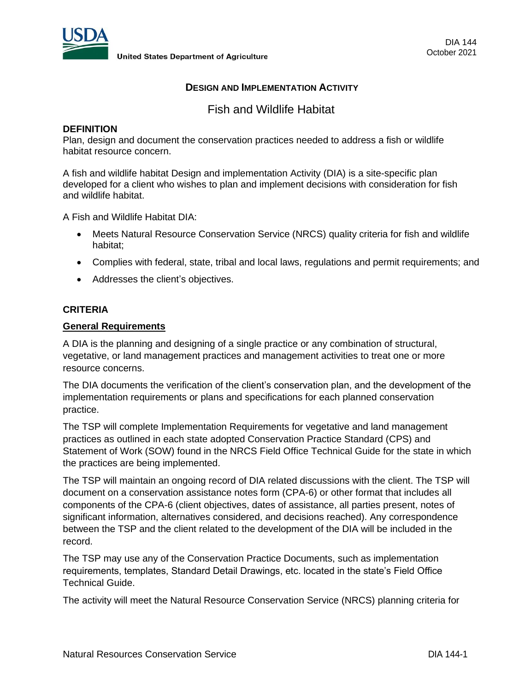

**United States Department of Agriculture** 

## **DESIGN AND IMPLEMENTATION ACTIVITY**

Fish and Wildlife Habitat

### **DEFINITION**

Plan, design and document the conservation practices needed to address a fish or wildlife habitat resource concern.

A fish and wildlife habitat Design and implementation Activity (DIA) is a site-specific plan developed for a client who wishes to plan and implement decisions with consideration for fish and wildlife habitat.

A Fish and Wildlife Habitat DIA:

- Meets Natural Resource Conservation Service (NRCS) quality criteria for fish and wildlife habitat;
- Complies with federal, state, tribal and local laws, regulations and permit requirements; and
- Addresses the client's objectives.

### **CRITERIA**

### **General Requirements**

A DIA is the planning and designing of a single practice or any combination of structural, vegetative, or land management practices and management activities to treat one or more resource concerns.

The DIA documents the verification of the client's conservation plan, and the development of the implementation requirements or plans and specifications for each planned conservation practice.

The TSP will complete Implementation Requirements for vegetative and land management practices as outlined in each state adopted Conservation Practice Standard (CPS) and Statement of Work (SOW) found in the NRCS Field Office Technical Guide for the state in which the practices are being implemented.

The TSP will maintain an ongoing record of DIA related discussions with the client. The TSP will document on a conservation assistance notes form (CPA-6) or other format that includes all components of the CPA-6 (client objectives, dates of assistance, all parties present, notes of significant information, alternatives considered, and decisions reached). Any correspondence between the TSP and the client related to the development of the DIA will be included in the record.

The TSP may use any of the Conservation Practice Documents, such as implementation requirements, templates, Standard Detail Drawings, etc. located in the state's Field Office Technical Guide.

The activity will meet the Natural Resource Conservation Service (NRCS) planning criteria for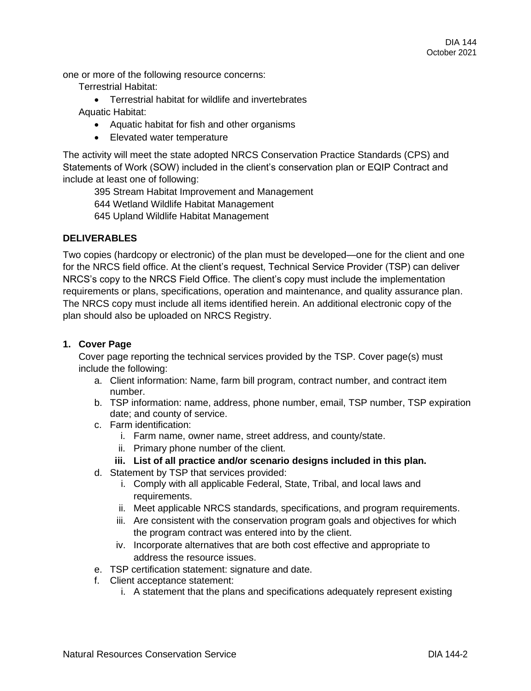one or more of the following resource concerns:

Terrestrial Habitat:

- Terrestrial habitat for wildlife and invertebrates Aquatic Habitat:
	- Aquatic habitat for fish and other organisms
	- Elevated water temperature

The activity will meet the state adopted NRCS Conservation Practice Standards (CPS) and Statements of Work (SOW) included in the client's conservation plan or EQIP Contract and include at least one of following:

395 Stream Habitat Improvement and Management

644 Wetland Wildlife Habitat Management

645 Upland Wildlife Habitat Management

### **DELIVERABLES**

Two copies (hardcopy or electronic) of the plan must be developed—one for the client and one for the NRCS field office. At the client's request, Technical Service Provider (TSP) can deliver NRCS's copy to the NRCS Field Office. The client's copy must include the implementation requirements or plans, specifications, operation and maintenance, and quality assurance plan. The NRCS copy must include all items identified herein. An additional electronic copy of the plan should also be uploaded on NRCS Registry.

## **1. Cover Page**

Cover page reporting the technical services provided by the TSP. Cover page(s) must include the following:

- a. Client information: Name, farm bill program, contract number, and contract item number.
- b. TSP information: name, address, phone number, email, TSP number, TSP expiration date; and county of service.
- c. Farm identification:
	- i. Farm name, owner name, street address, and county/state.
	- ii. Primary phone number of the client.

# **iii. List of all practice and/or scenario designs included in this plan.**

- d. Statement by TSP that services provided:
	- i. Comply with all applicable Federal, State, Tribal, and local laws and requirements.
	- ii. Meet applicable NRCS standards, specifications, and program requirements.
	- iii. Are consistent with the conservation program goals and objectives for which the program contract was entered into by the client.
	- iv. Incorporate alternatives that are both cost effective and appropriate to address the resource issues.
- e. TSP certification statement: signature and date.
- f. Client acceptance statement:
	- i. A statement that the plans and specifications adequately represent existing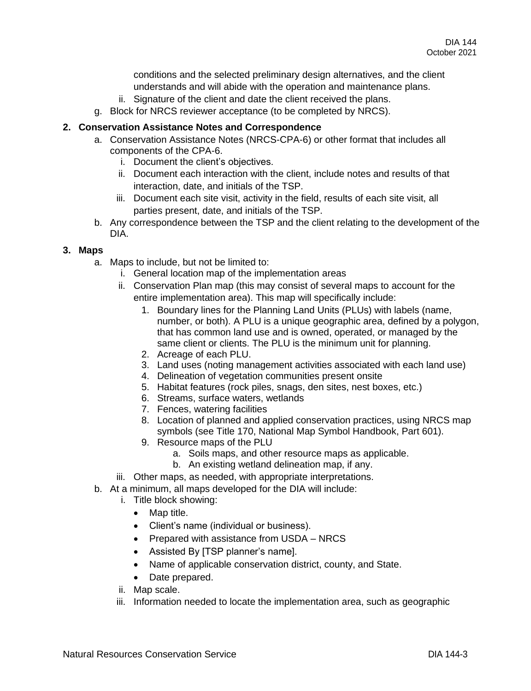conditions and the selected preliminary design alternatives, and the client understands and will abide with the operation and maintenance plans.

- ii. Signature of the client and date the client received the plans.
- g. Block for NRCS reviewer acceptance (to be completed by NRCS).

## **2. Conservation Assistance Notes and Correspondence**

- a. Conservation Assistance Notes (NRCS-CPA-6) or other format that includes all components of the CPA-6.
	- i. Document the client's objectives.
	- ii. Document each interaction with the client, include notes and results of that interaction, date, and initials of the TSP.
	- iii. Document each site visit, activity in the field, results of each site visit, all parties present, date, and initials of the TSP.
- b. Any correspondence between the TSP and the client relating to the development of the DIA.

# **3. Maps**

- a. Maps to include, but not be limited to:
	- i. General location map of the implementation areas
	- ii. Conservation Plan map (this may consist of several maps to account for the entire implementation area). This map will specifically include:
		- 1. Boundary lines for the Planning Land Units (PLUs) with labels (name, number, or both). A PLU is a unique geographic area, defined by a polygon, that has common land use and is owned, operated, or managed by the same client or clients. The PLU is the minimum unit for planning.
		- 2. Acreage of each PLU.
		- 3. Land uses (noting management activities associated with each land use)
		- 4. Delineation of vegetation communities present onsite
		- 5. Habitat features (rock piles, snags, den sites, nest boxes, etc.)
		- 6. Streams, surface waters, wetlands
		- 7. Fences, watering facilities
		- 8. Location of planned and applied conservation practices, using NRCS map symbols (see Title 170, National Map Symbol Handbook, Part 601).
		- 9. Resource maps of the PLU
			- a. Soils maps, and other resource maps as applicable.
			- b. An existing wetland delineation map, if any.
	- iii. Other maps, as needed, with appropriate interpretations.
- b. At a minimum, all maps developed for the DIA will include:
	- i. Title block showing:
		- Map title.
		- Client's name (individual or business).
		- Prepared with assistance from USDA NRCS
		- Assisted By [TSP planner's name].
		- Name of applicable conservation district, county, and State.
		- Date prepared.
	- ii. Map scale.
	- iii. Information needed to locate the implementation area, such as geographic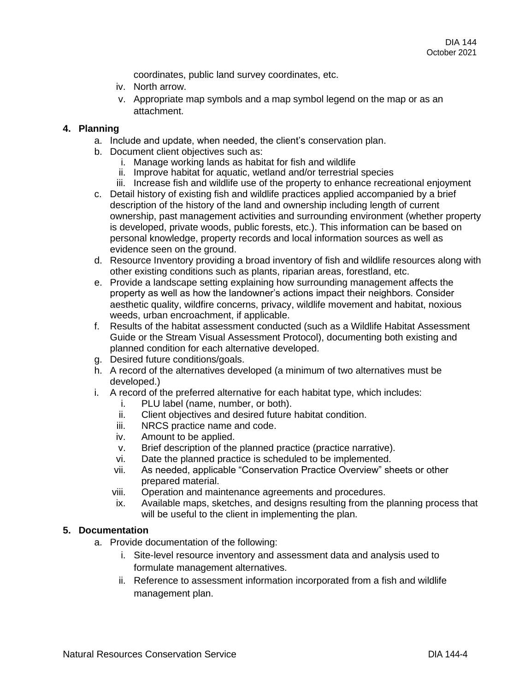coordinates, public land survey coordinates, etc.

- iv. North arrow.
- v. Appropriate map symbols and a map symbol legend on the map or as an attachment.

### **4. Planning**

- a. Include and update, when needed, the client's conservation plan.
- b. Document client objectives such as:
	- i. Manage working lands as habitat for fish and wildlife
	- ii. Improve habitat for aquatic, wetland and/or terrestrial species
	- iii. Increase fish and wildlife use of the property to enhance recreational enjoyment
- c. Detail history of existing fish and wildlife practices applied accompanied by a brief description of the history of the land and ownership including length of current ownership, past management activities and surrounding environment (whether property is developed, private woods, public forests, etc.). This information can be based on personal knowledge, property records and local information sources as well as evidence seen on the ground.
- d. Resource Inventory providing a broad inventory of fish and wildlife resources along with other existing conditions such as plants, riparian areas, forestland, etc.
- e. Provide a landscape setting explaining how surrounding management affects the property as well as how the landowner's actions impact their neighbors. Consider aesthetic quality, wildfire concerns, privacy, wildlife movement and habitat, noxious weeds, urban encroachment, if applicable.
- f. Results of the habitat assessment conducted (such as a Wildlife Habitat Assessment Guide or the Stream Visual Assessment Protocol), documenting both existing and planned condition for each alternative developed.
- g. Desired future conditions/goals.
- h. A record of the alternatives developed (a minimum of two alternatives must be developed.)
- i. A record of the preferred alternative for each habitat type, which includes:
	- i. PLU label (name, number, or both).
	- ii. Client objectives and desired future habitat condition.
	- iii. NRCS practice name and code.
	- iv. Amount to be applied.
	- v. Brief description of the planned practice (practice narrative).
	- vi. Date the planned practice is scheduled to be implemented.
	- vii. As needed, applicable "Conservation Practice Overview" sheets or other prepared material.
	- viii. Operation and maintenance agreements and procedures.
	- ix. Available maps, sketches, and designs resulting from the planning process that will be useful to the client in implementing the plan.

## **5. Documentation**

- a. Provide documentation of the following:
	- i. Site-level resource inventory and assessment data and analysis used to formulate management alternatives.
	- ii. Reference to assessment information incorporated from a fish and wildlife management plan.